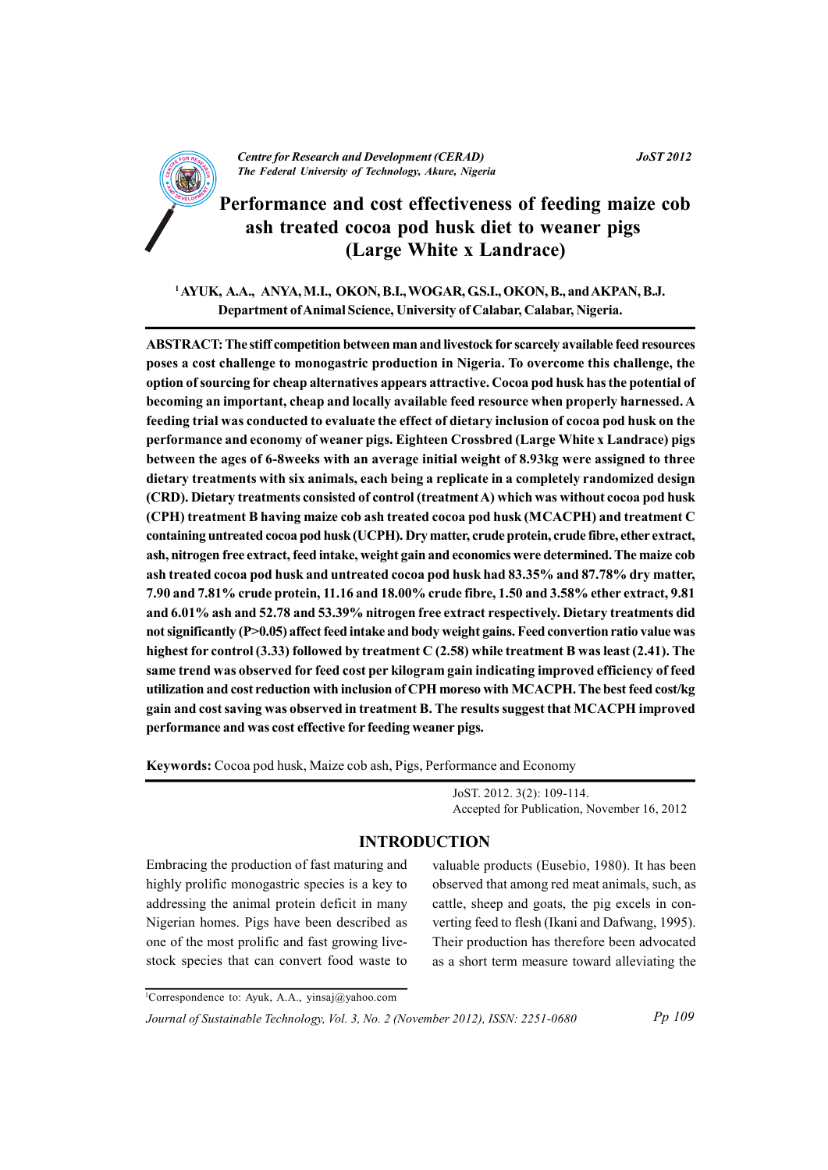

K

# Performance and cost effectiveness of feeding maize cob ash treated cocoa pod husk diet to weaner pigs (Large White x Landrace)

<sup>1</sup> AYUK, A.A., ANYA, M.I., OKON, B.I., WOGAR, G.S.I., OKON, B., and AKPAN, B.J. Department of Animal Science, University of Calabar, Calabar, Nigeria.

ABSTRACT: The stiff competition between man and livestock for scarcely available feed resources poses a cost challenge to monogastric production in Nigeria. To overcome this challenge, the option of sourcing for cheap alternatives appears attractive. Cocoa pod husk has the potential of becoming an important, cheap and locally available feed resource when properly harnessed. A feeding trial was conducted to evaluate the effect of dietary inclusion of cocoa pod husk on the performance and economy of weaner pigs. Eighteen Crossbred (Large White x Landrace) pigs between the ages of 6-8weeks with an average initial weight of 8.93kg were assigned to three dietary treatments with six animals, each being a replicate in a completely randomized design (CRD). Dietary treatments consisted of control (treatment A) which was without cocoa pod husk (CPH) treatment B having maize cob ash treated cocoa pod husk (MCACPH) and treatment C containing untreated cocoa pod husk (UCPH). Dry matter, crude protein, crude fibre, ether extract, ash, nitrogen free extract, feed intake, weight gain and economics were determined. The maize cob ash treated cocoa pod husk and untreated cocoa pod husk had 83.35% and 87.78% dry matter, 7.90 and 7.81% crude protein, 11.16 and 18.00% crude fibre, 1.50 and 3.58% ether extract, 9.81 and 6.01% ash and 52.78 and 53.39% nitrogen free extract respectively. Dietary treatments did not significantly (P>0.05) affect feed intake and body weight gains. Feed convertion ratio value was highest for control (3.33) followed by treatment C (2.58) while treatment B was least (2.41). The same trend was observed for feed cost per kilogram gain indicating improved efficiency of feed utilization and cost reduction with inclusion of CPH moreso with MCACPH. The best feed cost/kg gain and cost saving was observed in treatment B. The results suggest that MCACPH improved performance and was cost effective for feeding weaner pigs.

Keywords: Cocoa pod husk, Maize cob ash, Pigs, Performance and Economy

JoST. 2012. 3(2): 109-114. Accepted for Publication, November 16, 2012

### **INTRODUCTION**

Embracing the production of fast maturing and highly prolific monogastric species is a key to addressing the animal protein deficit in many Nigerian homes. Pigs have been described as one of the most prolific and fast growing livestock species that can convert food waste to

valuable products (Eusebio, 1980). It has been observed that among red meat animals, such, as cattle, sheep and goats, the pig excels in converting feed to flesh (Ikani and Dafwang, 1995). Their production has therefore been advocated as a short term measure toward alleviating the

<sup>1</sup>Correspondence to: Ayuk, A.A., yinsaj@yahoo.com

Journal of Sustainable Technology, Vol. 3, No. 2 (November 2012), ISSN: 2251-0680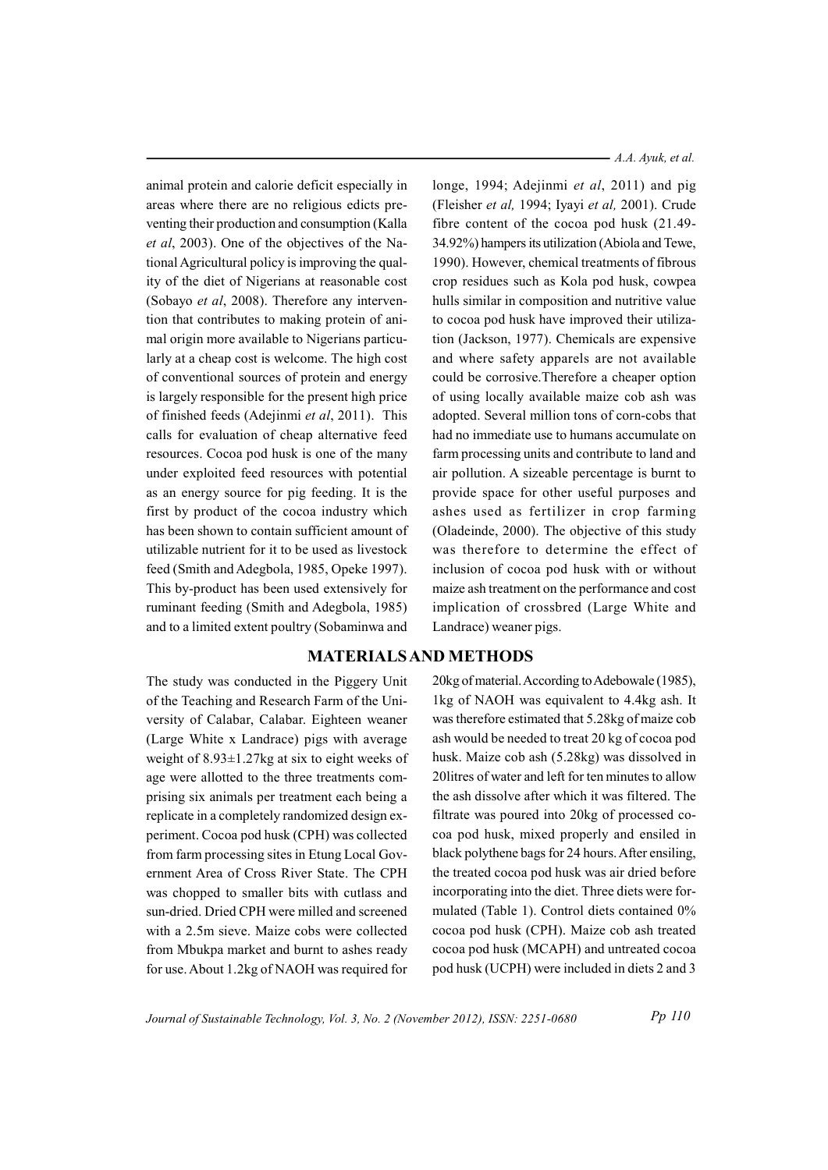animal protein and calorie deficit especially in areas where there are no religious edicts preventing their production and consumption (Kalla et al, 2003). One of the objectives of the National Agricultural policy is improving the quality of the diet of Nigerians at reasonable cost (Sobayo et al. 2008). Therefore any intervention that contributes to making protein of animal origin more available to Nigerians particularly at a cheap cost is welcome. The high cost of conventional sources of protein and energy is largely responsible for the present high price of finished feeds (Adejinmi et al, 2011). This calls for evaluation of cheap alternative feed resources. Cocoa pod husk is one of the many under exploited feed resources with potential as an energy source for pig feeding. It is the first by product of the cocoa industry which has been shown to contain sufficient amount of utilizable nutrient for it to be used as livestock feed (Smith and Adegbola, 1985, Opeke 1997). This by-product has been used extensively for ruminant feeding (Smith and Adegbola, 1985) and to a limited extent poultry (Sobaminwa and

The study was conducted in the Piggery Unit of the Teaching and Research Farm of the University of Calabar, Calabar. Eighteen weaner (Large White x Landrace) pigs with average weight of  $8.93 \pm 1.27$ kg at six to eight weeks of age were allotted to the three treatments comprising six animals per treatment each being a replicate in a completely randomized design experiment. Cocoa pod husk (CPH) was collected from farm processing sites in Etung Local Government Area of Cross River State. The CPH was chopped to smaller bits with cutlass and sun-dried. Dried CPH were milled and screened with a 2.5m sieve. Maize cobs were collected from Mbukpa market and burnt to ashes ready for use. About 1.2kg of NAOH was required for

 $- A.A.$  Ayuk, et al.

longe, 1994; Adejinmi *et al*, 2011) and pig (Fleisher et al, 1994; Iyayi et al, 2001). Crude fibre content of the cocoa pod husk (21.49-34.92%) hampers its utilization (Abiola and Tewe, 1990). However, chemical treatments of fibrous crop residues such as Kola pod husk, cowpea hulls similar in composition and nutritive value to cocoa pod husk have improved their utilization (Jackson, 1977). Chemicals are expensive and where safety apparels are not available could be corrosive. Therefore a cheaper option of using locally available maize cob ash was adopted. Several million tons of corn-cobs that had no immediate use to humans accumulate on farm processing units and contribute to land and air pollution. A sizeable percentage is burnt to provide space for other useful purposes and ashes used as fertilizer in crop farming (Oladeinde, 2000). The objective of this study was therefore to determine the effect of inclusion of cocoa pod husk with or without maize ash treatment on the performance and cost implication of crossbred (Large White and Landrace) weaner pigs.

## **MATERIALS AND METHODS**

20kg of material. According to Adebowale (1985), 1kg of NAOH was equivalent to 4.4kg ash. It was therefore estimated that 5.28kg of maize cob ash would be needed to treat 20 kg of cocoa pod husk. Maize cob ash (5.28kg) was dissolved in 20 litres of water and left for ten minutes to allow the ash dissolve after which it was filtered. The filtrate was poured into 20kg of processed cocoa pod husk, mixed properly and ensiled in black polythene bags for 24 hours. After ensiling, the treated cocoa pod husk was air dried before incorporating into the diet. Three diets were formulated (Table 1). Control diets contained 0% cocoa pod husk (CPH). Maize cob ash treated cocoa pod husk (MCAPH) and untreated cocoa pod husk (UCPH) were included in diets 2 and 3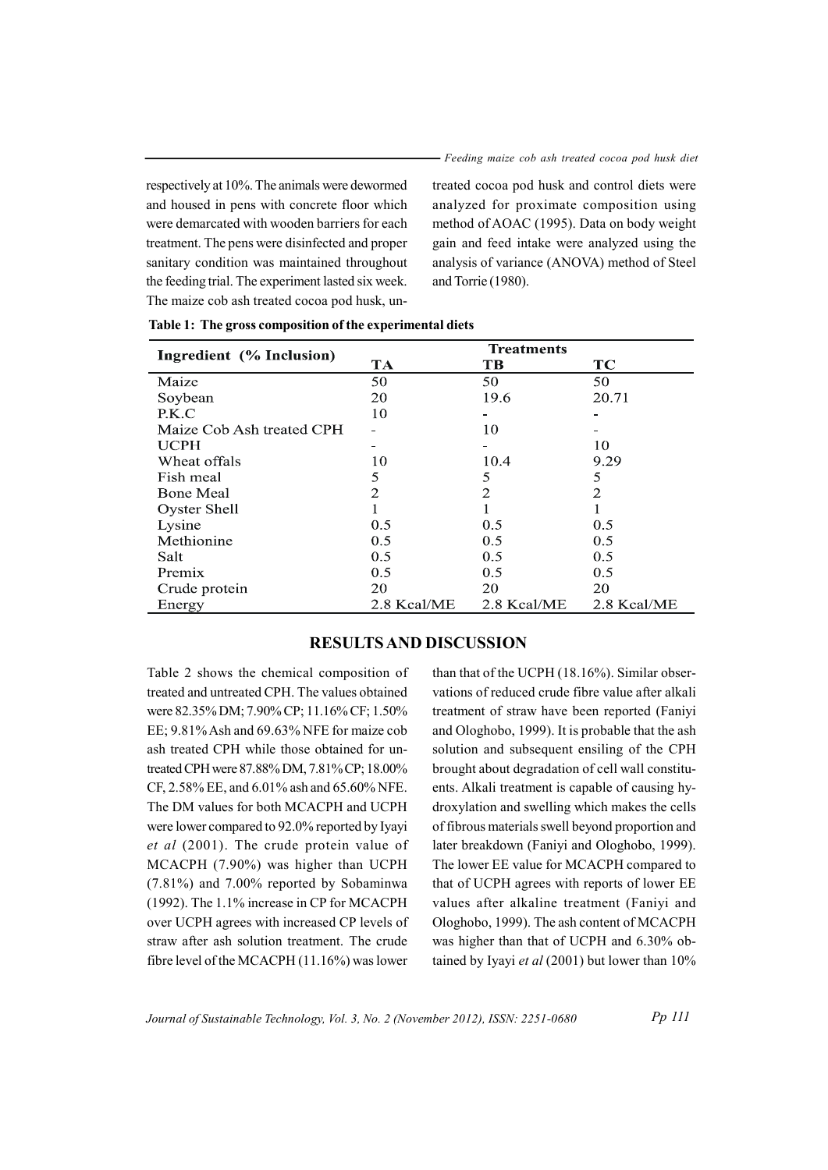respectively at 10%. The animals were dewormed and housed in pens with concrete floor which were demarcated with wooden barriers for each treatment. The pens were disinfected and proper sanitary condition was maintained throughout the feeding trial. The experiment lasted six week. The maize cob ash treated cocoa pod husk, untreated cocoa pod husk and control diets were analyzed for proximate composition using method of AOAC (1995). Data on body weight gain and feed intake were analyzed using the analysis of variance (ANOVA) method of Steel and Torrie (1980).

| Ingredient (% Inclusion)  | <b>Treatments</b> |             |                |
|---------------------------|-------------------|-------------|----------------|
|                           | <b>TA</b>         | <b>TB</b>   | TC             |
| Maize                     | 50                | 50          | 50             |
| Soybean                   | 20                | 19.6        | 20.71          |
| P.K.C                     | 10                |             |                |
| Maize Cob Ash treated CPH |                   | 10          |                |
| <b>UCPH</b>               |                   |             | 10             |
| Wheat offals              | 10                | 10.4        | 9.29           |
| Fish meal                 | 5                 | 5           | 5              |
| <b>Bone Meal</b>          | 2                 | 2           | $\overline{2}$ |
| Oyster Shell              |                   | 1           |                |
| Lysine                    | 0.5               | 0.5         | 0.5            |
| Methionine                | 0.5               | 0.5         | 0.5            |
| Salt                      | 0.5               | 0.5         | 0.5            |
| Premix                    | 0.5               | 0.5         | 0.5            |
| Crude protein             | 20                | 20          | 20             |
| Energy                    | 2.8 Kcal/ME       | 2.8 Kcal/ME | 2.8 Kcal/ME    |

|  |  | Table 1: The gross composition of the experimental diets |  |
|--|--|----------------------------------------------------------|--|
|  |  |                                                          |  |

#### **RESULTS AND DISCUSSION**

Table 2 shows the chemical composition of treated and untreated CPH. The values obtained were 82.35% DM; 7.90% CP; 11.16% CF; 1.50% EE; 9.81% Ash and 69.63% NFE for maize cob ash treated CPH while those obtained for untreated CPH were 87.88% DM, 7.81% CP; 18.00% CF, 2.58% EE, and 6.01% ash and 65.60% NFE. The DM values for both MCACPH and UCPH were lower compared to 92.0% reported by Iyayi *et al* (2001). The crude protein value of MCACPH (7.90%) was higher than UCPH (7.81%) and 7.00% reported by Sobaminwa (1992). The 1.1% increase in CP for MCACPH over UCPH agrees with increased CP levels of straw after ash solution treatment. The crude fibre level of the MCACPH (11.16%) was lower

than that of the UCPH (18.16%). Similar observations of reduced crude fibre value after alkali treatment of straw have been reported (Faniyi and Ologhobo, 1999). It is probable that the ash solution and subsequent ensiling of the CPH brought about degradation of cell wall constituents. Alkali treatment is capable of causing hydroxylation and swelling which makes the cells of fibrous materials swell beyond proportion and later breakdown (Faniyi and Ologhobo, 1999). The lower EE value for MCACPH compared to that of UCPH agrees with reports of lower EE values after alkaline treatment (Faniyi and Ologhobo, 1999). The ash content of MCACPH was higher than that of UCPH and 6.30% obtained by Iyayi et al  $(2001)$  but lower than 10%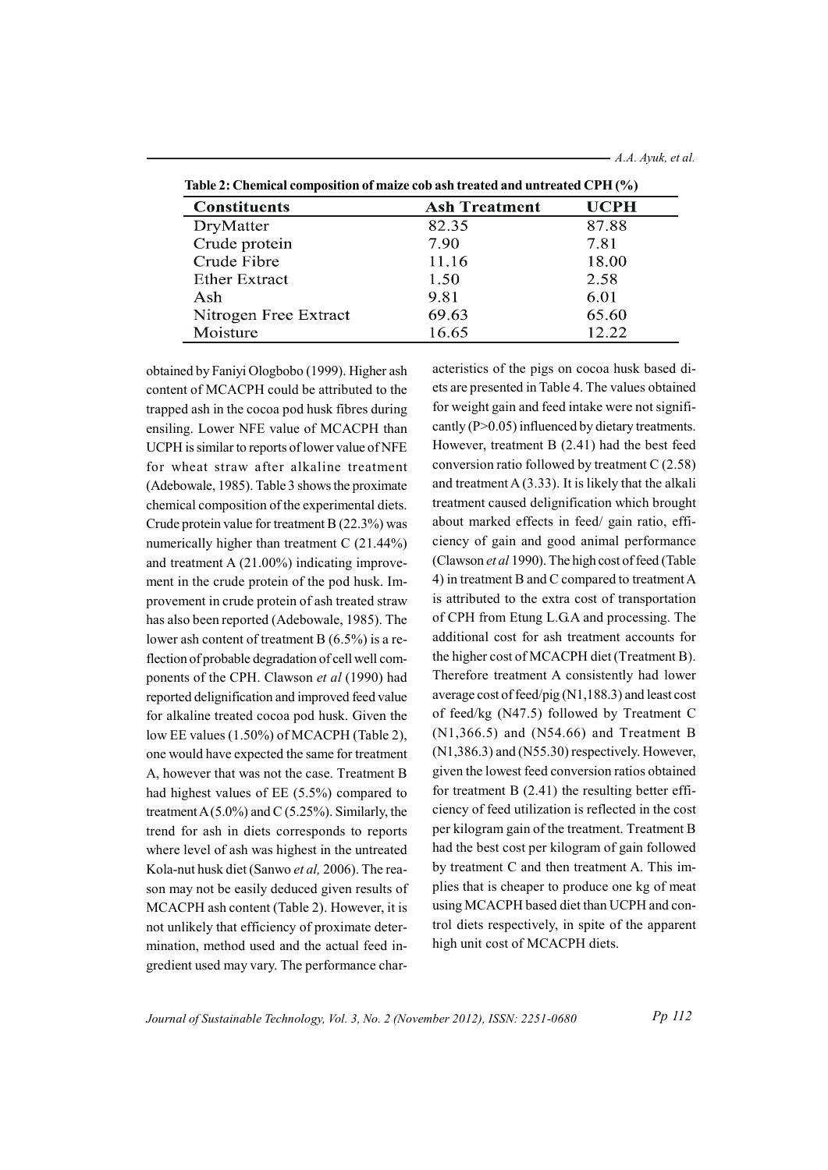| <b>Constituents</b>   | <b>Ash Treatment</b> | <b>UCPH</b> |  |  |
|-----------------------|----------------------|-------------|--|--|
| DryMatter             | 82.35                | 87.88       |  |  |
| Crude protein         | 7.90                 | 7.81        |  |  |
| Crude Fibre           | 11.16                | 18.00       |  |  |
| <b>Ether Extract</b>  | 1.50                 | 2.58        |  |  |
| Ash                   | 9.81                 | 6.01        |  |  |
| Nitrogen Free Extract | 69.63                | 65.60       |  |  |
| Moisture              | 16.65                | 12.22       |  |  |

Table 2: Chemical composition of maize cob ash treated and untreated CPH (%)

obtained by Faniyi Ologbobo (1999). Higher ash content of MCACPH could be attributed to the trapped ash in the cocoa pod husk fibres during ensiling. Lower NFE value of MCACPH than UCPH is similar to reports of lower value of NFE for wheat straw after alkaline treatment (Adebowale, 1985). Table 3 shows the proximate chemical composition of the experimental diets. Crude protein value for treatment B (22.3%) was numerically higher than treatment C  $(21.44\%)$ and treatment A  $(21.00\%)$  indicating improvement in the crude protein of the pod husk. Improvement in crude protein of ash treated straw has also been reported (Adebowale, 1985). The lower ash content of treatment B  $(6.5\%)$  is a reflection of probable degradation of cell well components of the CPH. Clawson et al (1990) had reported delignification and improved feed value for alkaline treated cocoa pod husk. Given the low EE values (1.50%) of MCACPH (Table 2), one would have expected the same for treatment A, however that was not the case. Treatment B had highest values of EE (5.5%) compared to treatment A $(5.0\%)$  and C $(5.25\%)$ . Similarly, the trend for ash in diets corresponds to reports where level of ash was highest in the untreated Kola-nut husk diet (Sanwo et al. 2006). The reason may not be easily deduced given results of MCACPH ash content (Table 2). However, it is not unlikely that efficiency of proximate determination, method used and the actual feed ingredient used may vary. The performance char-

acteristics of the pigs on cocoa husk based diets are presented in Table 4. The values obtained for weight gain and feed intake were not significantly ( $P > 0.05$ ) influenced by dietary treatments. However, treatment  $B(2.41)$  had the best feed conversion ratio followed by treatment  $C(2.58)$ and treatment  $A(3.33)$ . It is likely that the alkali treatment caused delignification which brought about marked effects in feed/ gain ratio, efficiency of gain and good animal performance (Clawson et al 1990). The high cost of feed (Table 4) in treatment B and C compared to treatment A is attributed to the extra cost of transportation of CPH from Etung L.G.A and processing. The additional cost for ash treatment accounts for the higher cost of MCACPH diet (Treatment B). Therefore treatment A consistently had lower average cost of feed/pig (N1,188.3) and least cost of feed/kg (N47.5) followed by Treatment C  $(N1,366.5)$  and  $(N54.66)$  and Treatment B  $(N1,386.3)$  and  $(N55.30)$  respectively. However, given the lowest feed conversion ratios obtained for treatment  $B(2.41)$  the resulting better efficiency of feed utilization is reflected in the cost per kilogram gain of the treatment. Treatment B had the best cost per kilogram of gain followed by treatment C and then treatment A. This implies that is cheaper to produce one kg of meat using MCACPH based diet than UCPH and control diets respectively, in spite of the apparent high unit cost of MCACPH diets.

Journal of Sustainable Technology, Vol. 3, No. 2 (November 2012), ISSN: 2251-0680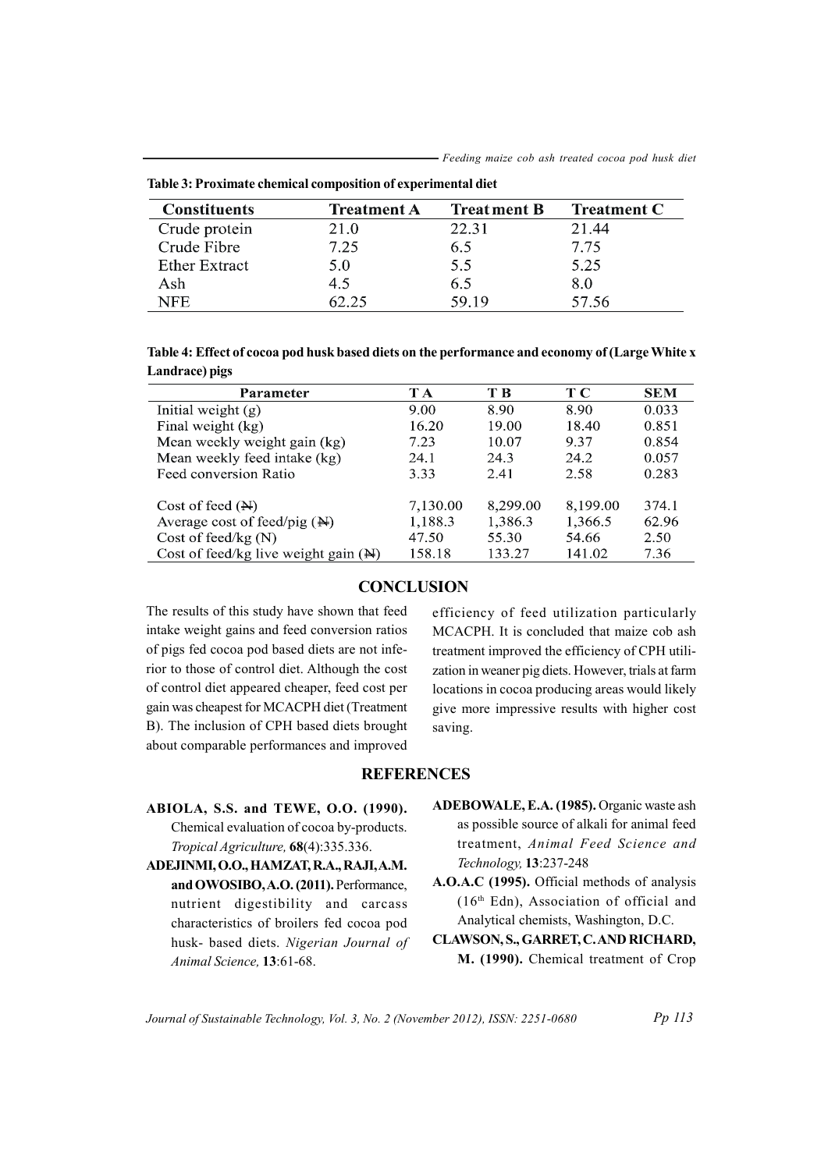| <b>Constituents</b>  | <b>Treatment A</b> | <b>Treatment B</b> | <b>Treatment C</b> |
|----------------------|--------------------|--------------------|--------------------|
| Crude protein        | 21.0               | 22.31              | 21.44              |
| Crude Fibre          | 7.25               | 6.5                | 7.75               |
| <b>Ether Extract</b> | 5.0                | 5.5                | 5.25               |
| Ash                  | 4.5                | 6.5                | 8.0                |
| <b>NFE</b>           | 62.25              | 59.19              | 57.56              |

Table 3: Proximate chemical composition of experimental diet

Table 4: Effect of cocoa pod husk based diets on the performance and economy of (Large White x Landrace) pigs

| <b>Parameter</b>                                | T A      | T B      | TС       | <b>SEM</b> |
|-------------------------------------------------|----------|----------|----------|------------|
| Initial weight $(g)$                            | 9.00     | 8.90     | 8.90     | 0.033      |
| Final weight (kg)                               | 16.20    | 19.00    | 18.40    | 0.851      |
| Mean weekly weight gain (kg)                    | 7.23     | 10.07    | 9.37     | 0.854      |
| Mean weekly feed intake (kg)                    | 24.1     | 24.3     | 24.2     | 0.057      |
| Feed conversion Ratio                           | 3.33     | 2.41     | 2.58     | 0.283      |
| Cost of feed $(H)$                              | 7,130.00 | 8,299.00 | 8,199.00 | 374.1      |
| Average cost of feed/pig $(\mathbf{H})$         | 1,188.3  | 1,386.3  | 1,366.5  | 62.96      |
| Cost of feed/kg $(N)$                           | 47.50    | 55.30    | 54.66    | 2.50       |
| Cost of feed/kg live weight gain $(\mathbb{H})$ | 158.18   | 133.27   | 141.02   | 7.36       |

## **CONCLUSION**

The results of this study have shown that feed intake weight gains and feed conversion ratios of pigs fed cocoa pod based diets are not inferior to those of control diet. Although the cost of control diet appeared cheaper, feed cost per gain was cheapest for MCACPH diet (Treatment B). The inclusion of CPH based diets brought about comparable performances and improved

efficiency of feed utilization particularly MCACPH. It is concluded that maize cob ash treatment improved the efficiency of CPH utilization in weaner pig diets. However, trials at farm locations in cocoa producing areas would likely give more impressive results with higher cost saving.

## **REFERENCES**

- ABIOLA, S.S. and TEWE, O.O. (1990). Chemical evaluation of cocoa by-products. Tropical Agriculture, 68(4):335.336.
- ADEJINMI, O.O., HAMZAT, R.A., RAJI, A.M. and OWOSIBO, A.O. (2011). Performance, nutrient digestibility and carcass characteristics of broilers fed cocoa pod husk- based diets. Nigerian Journal of Animal Science, 13:61-68.
- ADEBOWALE, E.A. (1985). Organic waste ash as possible source of alkali for animal feed treatment, Animal Feed Science and Technology, 13:237-248
- A.O.A.C (1995). Official methods of analysis  $(16<sup>th</sup>$  Edn), Association of official and Analytical chemists, Washington, D.C.
- CLAWSON, S., GARRET, C. AND RICHARD, M. (1990). Chemical treatment of Crop

Journal of Sustainable Technology, Vol. 3, No. 2 (November 2012), ISSN: 2251-0680